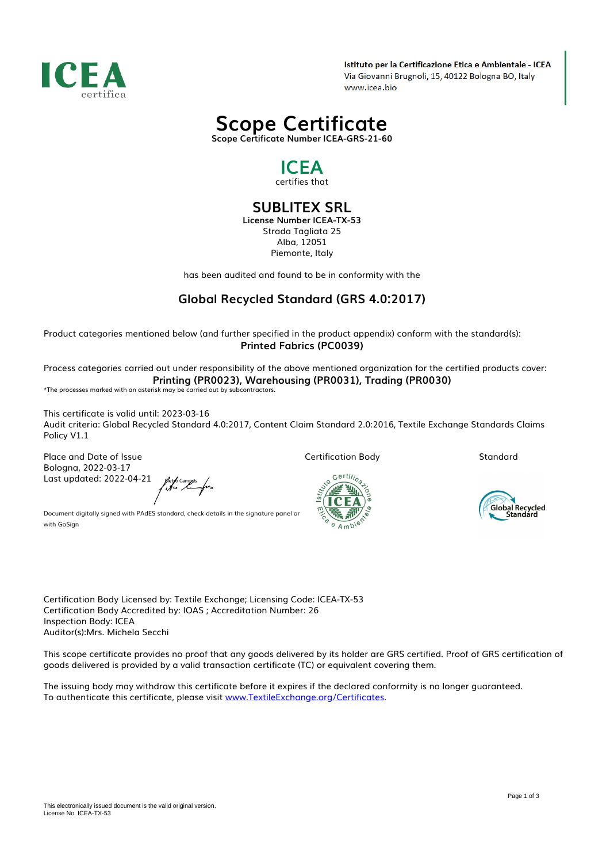

Istituto per la Certificazione Etica e Ambientale - ICEA Via Giovanni Brugnoli, 15, 40122 Bologna BO, Italy www.icea.bio



*Scope Certificate Number ICEA-GRS-21-60*

## *ICEA certifies that*

### *SUBLITEX SRL License Number ICEA-TX-53*

*Strada Tagliata 25 Alba, 12051 Piemonte, Italy*

*has been audited and found to be in conformity with the*

# *Global Recycled Standard (GRS 4.0:2017)*

*Product categories mentioned below (and further specified in the product appendix) conform with the standard(s): Printed Fabrics (PC0039)*

*Process categories carried out under responsibility of the above mentioned organization for the certified products cover: Printing (PR0023), Warehousing (PR0031), Trading (PR0030)*

*\*The processes marked with an asterisk may be carried out by subcontractors.*

*This certificate is valid until: 2023-03-16 Audit criteria: Global Recycled Standard 4.0:2017, Content Claim Standard 2.0:2016, Textile Exchange Standards Claims Policy V1.1*

*Place and Date of Issue Bologna, 2022-03-17 Last updated: 2022-04-21*

ferfocampos<br>fitero la forz

*Certification Body*

一

**Certific** 

*Standard*



*Document digitally signed with PAdES standard, check details in the signature panel or with GoSign*

*Certification Body Licensed by: Textile Exchange; Licensing Code: ICEA-TX-53 Certification Body Accredited by: IOAS ; Accreditation Number: 26 Inspection Body: ICEA Auditor(s):Mrs. Michela Secchi*

*This scope certificate provides no proof that any goods delivered by its holder are GRS certified. Proof of GRS certification of goods delivered is provided by a valid transaction certificate (TC) or equivalent covering them.*

*The issuing body may withdraw this certificate before it expires if the declared conformity is no longer guaranteed. To authenticate this certificate, please visit [www.TextileExchange.org/Certificates](https://www.TextileExchange.org/Certificates).*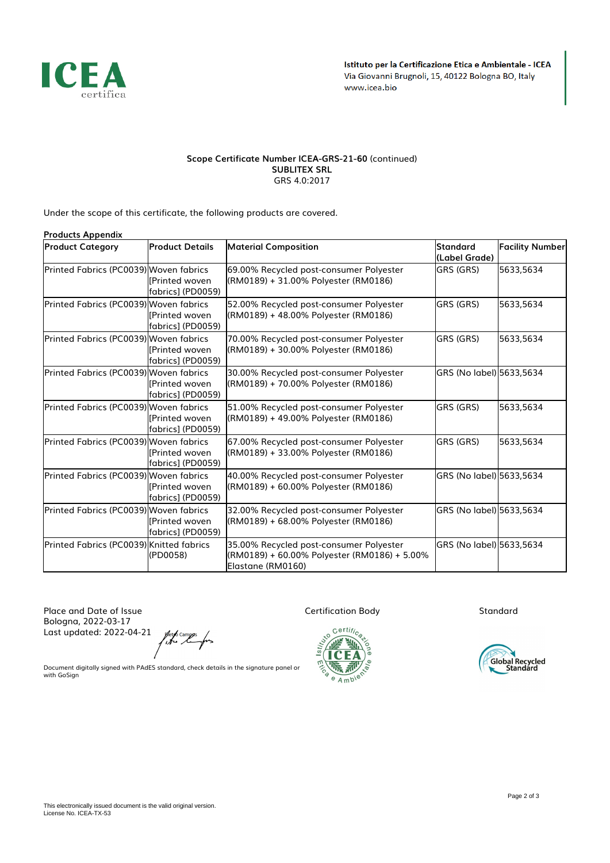

#### *Scope Certificate Number ICEA-GRS-21-60 (continued) SUBLITEX SRL GRS 4.0:2017*

*Under the scope of this certificate, the following products are covered.*

| <b>Products Appendix</b>                 |                                             |                                                                                                              |                           |                        |  |
|------------------------------------------|---------------------------------------------|--------------------------------------------------------------------------------------------------------------|---------------------------|------------------------|--|
| <b>Product Category</b>                  | Product Details                             | <b>Material Composition</b>                                                                                  | Standard<br>(Label Grade) | <b>Facility Number</b> |  |
| Printed Fabrics (PC0039) Woven fabrics   | [Printed woven<br> fabrics] (PD0059)        | 69.00% Recycled post-consumer Polyester<br>(RM0189) + 31.00% Polyester (RM0186)                              | <b>GRS (GRS)</b>          | 5633,5634              |  |
| Printed Fabrics (PC0039) Woven fabrics   | <b>I</b> Printed woven<br>fabrics] (PD0059) | 52.00% Recycled post-consumer Polyester<br>(RM0189) + 48.00% Polyester (RM0186)                              | <b>GRS (GRS)</b>          | 5633,5634              |  |
| Printed Fabrics (PC0039) Woven fabrics   | [Printed woven<br> fabrics] (PD0059)        | 70.00% Recycled post-consumer Polyester<br>(RM0189) + 30.00% Polyester (RM0186)                              | GRS (GRS)                 | 5633,5634              |  |
| Printed Fabrics (PC0039) Woven fabrics   | <b>I</b> Printed woven<br>fabrics] (PD0059) | 30.00% Recycled post-consumer Polyester<br>(RM0189) + 70.00% Polyester (RM0186)                              | GRS (No label) 5633,5634  |                        |  |
| Printed Fabrics (PC0039) Woven fabrics   | <b>I</b> Printed woven<br>fabrics] (PD0059) | 51.00% Recycled post-consumer Polyester<br>(RM0189) + 49.00% Polyester (RM0186)                              | <b>GRS (GRS)</b>          | 5633,5634              |  |
| Printed Fabrics (PC0039) Woven fabrics   | <b>I</b> Printed woven<br>fabrics] (PD0059) | 67.00% Recycled post-consumer Polyester<br>(RM0189) + 33.00% Polyester (RM0186)                              | <b>GRS (GRS)</b>          | 5633,5634              |  |
| Printed Fabrics (PC0039) Woven fabrics   | [Printed woven<br>fabrics] (PD0059)         | 40.00% Recycled post-consumer Polyester<br>(RM0189) + 60.00% Polyester (RM0186)                              | GRS (No label) 5633,5634  |                        |  |
| Printed Fabrics (PC0039) Woven fabrics   | [Printed woven<br>fabrics] (PD0059)         | 32.00% Recycled post-consumer Polyester<br>(RM0189) + 68.00% Polyester (RM0186)                              | GRS (No label) 5633,5634  |                        |  |
| Printed Fabrics (PC0039) Knitted fabrics | (PD0058)                                    | 35.00% Recycled post-consumer Polyester<br>(RM0189) + 60.00% Polyester (RM0186) + 5.00%<br>Elastane (RM0160) | GRS (No label) 5633,5634  |                        |  |

*Place and Date of Issue Bologna, 2022-03-17 Last updated: 2022-04-21*

*Certification Body*

 $\sqrt{2}$ 

 $C$ erti $f_{C}$ 

 $\widetilde{\mathbb{F}}$  $Amb^{\text{te}}$  *Standard*



*Document digitally signed with PAdES standard, check details in the signature panel or with GoSign*